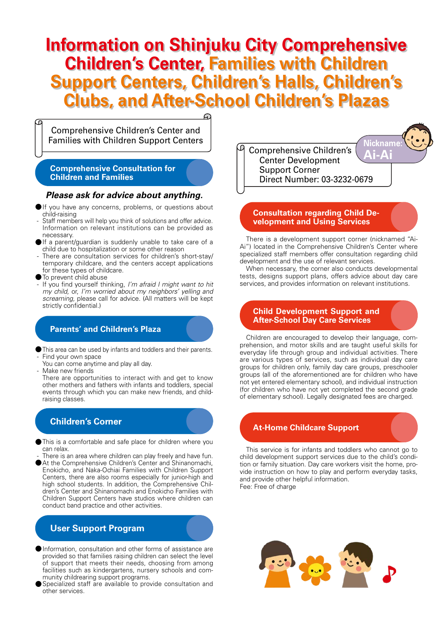# **Information on Shinjuku City Comprehensive Children's Center, Families with Children Support Centers, Children's Halls, Children's Clubs, and After-School Children's Plazas**

Comprehensive Children's Center and Families with Children Support Centers

**Comprehensive Consultation for Children and Families**

#### *Please ask for advice about anything.*

- If you have any concerns, problems, or questions about child-raising
- Staff members will help you think of solutions and offer advice. Information on relevant institutions can be provided as necessary.
- If a parent/guardian is suddenly unable to take care of a child due to hospitalization or some other reason
- There are consultation services for children's short-stay/ temporary childcare, and the centers accept applications for these types of childcare.
- To prevent child abuse
- If you find yourself thinking, *I'm afraid I might want to hit my child,* or, *I'm worried about my neighbors' yelling and screaming,* please call for advice. (All matters will be kept strictly confidential.)

#### **Parents' and Children's Plaza**

- ●This area can be used by infants and toddlers and their parents. Find your own space
- You can come anytime and play all day.
- Make new friends

There are opportunities to interact with and get to know other mothers and fathers with infants and toddlers, special events through which you can make new friends, and childraising classes.

# **Children's Corner**

- This is a comfortable and safe place for children where you can relax.
- There is an area where children can play freely and have fun. At the Comprehensive Children's Center and Shinanomachi, Enokicho, and Naka-Ochiai Families with Children Support Centers, there are also rooms especially for junior-high and high school students. In addition, the Comprehensive Children's Center and Shinanomachi and Enokicho Families with Children Support Centers have studios where children can conduct band practice and other activities.

## **User Support Program**

- ●Information, consultation and other forms of assistance are provided so that families raising children can select the level of support that meets their needs, choosing from among facilities such as kindergartens, nursery schools and community childrearing support programs.
- Specialized staff are available to provide consultation and other services.



#### **Consultation regarding Child Development and Using Services**

There is a development support corner (nicknamed "Ai-Ai") located in the Comprehensive Children's Center where specialized staff members offer consultation regarding child development and the use of relevant services.

When necessary, the corner also conducts developmental tests, designs support plans, offers advice about day care services, and provides information on relevant institutions.

#### **Child Development Support and After-School Day Care Services**

Children are encouraged to develop their language, comprehension, and motor skills and are taught useful skills for everyday life through group and individual activities. There are various types of services, such as individual day care groups for children only, family day care groups, preschooler groups (all of the aforementioned are for children who have not yet entered elementary school), and individual instruction (for children who have not yet completed the second grade of elementary school). Legally designated fees are charged.

## **At-Home Childcare Support**

This service is for infants and toddlers who cannot go to child development support services due to the child's condition or family situation. Day care workers visit the home, provide instruction on how to play and perform everyday tasks, and provide other helpful information. Fee: Free of charge

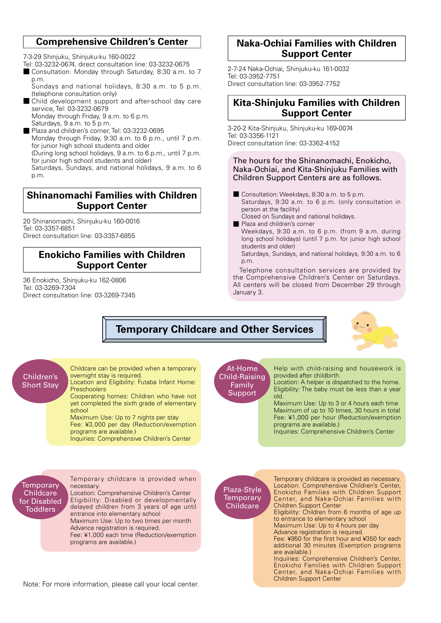#### **Comprehensive Children's Center**

7-3-29 Shinjuku, Shinjuku-ku 160-0022

Tel: 03-3232-0674, direct consultation line: 03-3232-0675

- Consultation: Monday through Saturday, 8:30 a.m. to 7 p.m.
	- Sundays and national holidays, 8:30 a.m. to 5 p.m. (telephone consultation only)
- Child development support and after-school day care service, Tel: 03-3232-0679

Monday through Friday, 9 a.m. to 6 p.m. Saturdays, 9 a.m. to 5 p.m.

Blaza and children's corner, Tel: 03-3232-0695 Monday through Friday, 9:30 a.m. to 6 p.m., until 7 p.m. for junior high school students and older (During long school holidays, 9 a.m. to 6 p.m., until 7 p.m. for junior high school students and older)

Saturdays, Sundays, and national holidays, 9 a.m. to 6 p.m.

## **Shinanomachi Families with Children Support Center**

20 Shinanomachi, Shinjuku-ku 160-0016 Tel: 03-3357-6851 Direct consultation line: 03-3357-6855

## **Enokicho Families with Children Support Center**

36 Enokicho, Shinjuku-ku 162-0806 Tel: 03-3269-7304 Direct consultation line: 03-3269-7345

## **Naka-Ochiai Families with Children Support Center**

2-7-24 Naka-Ochiai, Shinjuku-ku 161-0032 Tel: 03-3952-7751 Direct consultation line: 03-3952-7752

## **Kita-Shinjuku Families with Children Support Center**

3-20-2 Kita-Shinjuku, Shinjuku-ku 169-0074 Tel: 03-3356-1121 Direct consultation line: 03-3362-4152

#### The hours for the Shinanomachi, Enokicho, Naka-Ochiai, and Kita-Shinjuku Families with Children Support Centers are as follows.

■ Consultation: Weekdays, 8:30 a.m. to 5 p.m. Saturdays, 9:30 a.m. to 6 p.m. (only consultation in person at the facility) Closed on Sundays and national holidays.

■ Plaza and children's corner

Weekdays, 9:30 a.m. to 6 p.m. (from 9 a.m. during long school holidays) (until 7 p.m. for junior high school students and older)

Saturdays, Sundays, and national holidays, 9:30 a.m. to 6 p.m.

Telephone consultation services are provided by the Comprehensive Children's Center on Saturdays. All centers will be closed from December 29 through January 3.

# **Temporary Childcare and Other Services**



Children's Short Stay Childcare can be provided when a temporary overnight stay is required. Location and Eligibility: Futaba Infant Home:

**Preschoolers** Cooperating homes: Children who have not

yet completed the sixth grade of elementary school

Maximum Use: Up to 7 nights per stay Fee: ¥3,000 per day (Reduction/exemption programs are available.)

Inquiries: Comprehensive Children's Center

At-Home Child-Raising Family **Support** 

Help with child-raising and housework is provided after childbirth.

Location: A helper is dispatched to the home. Eligibility: The baby must be less than a year old.

Maximum Use: Up to 3 or 4 hours each time Maximum of up to 10 times, 30 hours in total Fee: ¥1,000 per hour (Reduction/exemption programs are available.)

Inquiries: Comprehensive Children's Center



Temporary childcare is provided when necessary.

Location: Comprehensive Children's Center Eligibility: Disabled or developmentally delayed children from 3 years of age until entrance into elementary school

Maximum Use: Up to two times per month Advance registration is required.

Fee: ¥1,000 each time (Reduction/exemption programs are available.)

Plaza-Style **Temporary Childcare** 

Location: Comprehensive Children's Center, Enokicho Families with Children Support Center, and Naka-Ochiai Families with Children Support Center Eligibility: Children from 6 months of age up to entrance to elementary school Maximum Use: Up to 4 hours per day Advance registration is required. Fee: ¥950 for the first hour and ¥350 for each additional 30 minutes (Exemption programs

Temporary childcare is provided as necessary.

are available.) Inquiries: Comprehensive Children's Center, Enokicho Families with Children Support Center, and Naka-Ochiai Families with

Children Support Center

Note: For more information, please call your local center.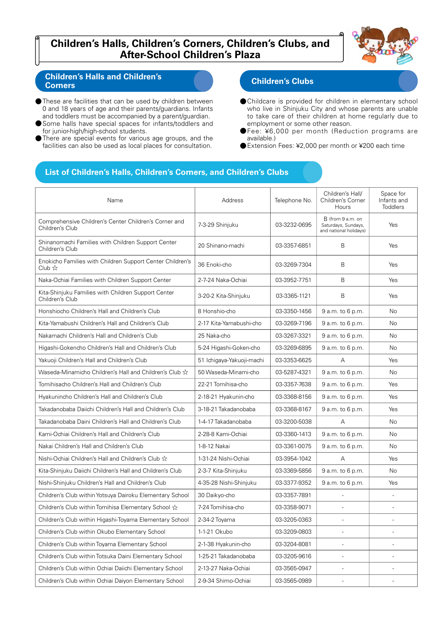# **Children's Halls, Children's Corners, Children's Clubs, and After-School Children's Plaza**



**Children's Halls and Children's Corners**

- These are facilities that can be used by children between 0 and 18 years of age and their parents/guardians. Infants and toddlers must be accompanied by a parent/guardian.
- Some halls have special spaces for infants/toddlers and for junior-high/high-school students.
- If There are special events for various age groups, and the facilities can also be used as local places for consultation.

#### **Children's Clubs**

- Childcare is provided for children in elementary school who live in Shinjuku City and whose parents are unable to take care of their children at home regularly due to employment or some other reason.
- Fee: ¥6,000 per month (Reduction programs are available.)
- Extension Fees: ¥2,000 per month or ¥200 each time

#### **List of Children's Halls, Children's Corners, and Children's Clubs**

| Name                                                                        | Address                   | Telephone No. | Children's Hall/<br>Children's Corner<br>Hours                     | Space for<br>Infants and<br><b>Toddlers</b> |
|-----------------------------------------------------------------------------|---------------------------|---------------|--------------------------------------------------------------------|---------------------------------------------|
| Comprehensive Children's Center Children's Corner and<br>Children's Club    | 7-3-29 Shinjuku           | 03-3232-0695  | B (from 9 a.m. on<br>Saturdays, Sundays,<br>and national holidays) | Yes                                         |
| Shinanomachi Families with Children Support Center<br>Children's Club       | 20 Shinano-machi          | 03-3357-6851  | B                                                                  | Yes                                         |
| Enokicho Families with Children Support Center Children's<br>Club $\forall$ | 36 Enoki-cho              | 03-3269-7304  | B                                                                  | Yes                                         |
| Naka-Ochiai Families with Children Support Center                           | 2-7-24 Naka-Ochiai        | 03-3952-7751  | B                                                                  | Yes                                         |
| Kita-Shinjuku Families with Children Support Center<br>Children's Club      | 3-20-2 Kita-Shinjuku      | 03-3365-1121  | B                                                                  | Yes                                         |
| Honshiocho Children's Hall and Children's Club                              | 8 Honshio-cho             | 03-3350-1456  | 9 a.m. to 6 p.m.                                                   | <b>No</b>                                   |
| Kita-Yamabushi Children's Hall and Children's Club                          | 2-17 Kita-Yamabushi-cho   | 03-3269-7196  | 9 a.m. to 6 p.m.                                                   | <b>No</b>                                   |
| Nakamachi Children's Hall and Children's Club                               | 25 Naka-cho               | 03-3267-3321  | 9 a.m. to 6 p.m.                                                   | <b>No</b>                                   |
| Higashi-Gokencho Children's Hall and Children's Club                        | 5-24 Higashi-Goken-cho    | 03-3269-6895  | 9 a.m. to 6 p.m.                                                   | <b>No</b>                                   |
| Yakuoji Children's Hall and Children's Club                                 | 51 Ichigaya-Yakuoji-machi | 03-3353-6625  | Α                                                                  | Yes                                         |
| Waseda-Minamicho Children's Hall and Children's Club ☆                      | 50 Waseda-Minami-cho      | 03-5287-4321  | 9 a.m. to 6 p.m.                                                   | <b>No</b>                                   |
| Tomihisacho Children's Hall and Children's Club                             | 22-21 Tomihisa-cho        | 03-3357-7638  | 9 a.m. to 6 p.m.                                                   | Yes                                         |
| Hyakunincho Children's Hall and Children's Club                             | 2-18-21 Hyakunin-cho      | 03-3368-8156  | 9 a.m. to 6 p.m.                                                   | Yes                                         |
| Takadanobaba Daiichi Children's Hall and Children's Club                    | 3-18-21 Takadanobaba      | 03-3368-8167  | 9 a.m. to 6 p.m.                                                   | Yes                                         |
| Takadanobaba Daini Children's Hall and Children's Club                      | 1-4-17 Takadanobaba       | 03-3200-5038  | A                                                                  | <b>No</b>                                   |
| Kami-Ochiai Children's Hall and Children's Club                             | 2-28-8 Kami-Ochiai        | 03-3360-1413  | 9 a.m. to 6 p.m.                                                   | <b>No</b>                                   |
| Nakai Children's Hall and Children's Club                                   | 1-8-12 Nakai              | 03-3361-0075  | 9 a.m. to 6 p.m.                                                   | <b>No</b>                                   |
| Nishi-Ochiai Children's Hall and Children's Club $\&$                       | 1-31-24 Nishi-Ochiai      | 03-3954-1042  | A                                                                  | Yes                                         |
| Kita-Shinjuku Daiichi Children's Hall and Children's Club                   | 2-3-7 Kita-Shinjuku       | 03-3369-5856  | 9 a.m. to 6 p.m.                                                   | <b>No</b>                                   |
| Nishi-Shinjuku Children's Hall and Children's Club                          | 4-35-28 Nishi-Shinjuku    | 03-3377-9352  | 9 a.m. to 6 p.m.                                                   | Yes                                         |
| Children's Club within Yotsuya Dairoku Elementary School                    | 30 Daikyo-cho             | 03-3357-7891  |                                                                    |                                             |
| Children's Club within Tomihisa Elementary School $\hat{x}$                 | 7-24 Tomihisa-cho         | 03-3358-9071  |                                                                    |                                             |
| Children's Club within Higashi-Toyama Elementary School                     | 2-34-2 Toyama             | 03-3205-0363  |                                                                    |                                             |
| Children's Club within Okubo Elementary School                              | 1-1-21 Okubo              | 03-3209-0803  | ÷,                                                                 |                                             |
| Children's Club within Toyama Elementary School                             | 2-1-38 Hyakunin-cho       | 03-3204-8081  | $\overline{a}$                                                     |                                             |
| Children's Club within Totsuka Daini Elementary School                      | 1-25-21 Takadanobaba      | 03-3205-9616  |                                                                    |                                             |
| Children's Club within Ochiai Daiichi Elementary School                     | 2-13-27 Naka-Ochiai       | 03-3565-0947  | $\overline{a}$                                                     |                                             |
| Children's Club within Ochiai Daiyon Elementary School                      | 2-9-34 Shimo-Ochiai       | 03-3565-0989  |                                                                    |                                             |